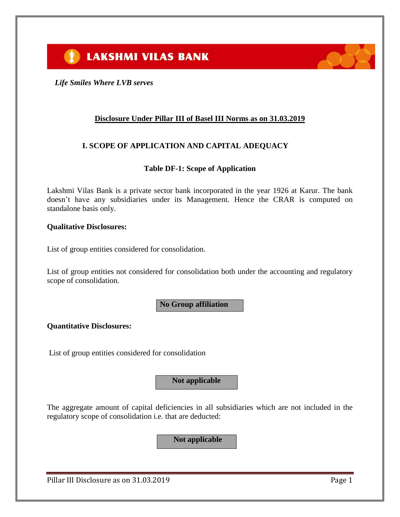

 *Life Smiles Where LVB serves*

# **Disclosure Under Pillar III of Basel III Norms as on 31.03.2019**

# **I. SCOPE OF APPLICATION AND CAPITAL ADEQUACY**

# **Table DF-1: Scope of Application**

Lakshmi Vilas Bank is a private sector bank incorporated in the year 1926 at Karur. The bank doesn't have any subsidiaries under its Management. Hence the CRAR is computed on standalone basis only.

## **Qualitative Disclosures:**

List of group entities considered for consolidation.

List of group entities not considered for consolidation both under the accounting and regulatory scope of consolidation.

**No Group affiliation**

**Quantitative Disclosures:**

List of group entities considered for consolidation

## **Not applicable**

The aggregate amount of capital deficiencies in all subsidiaries which are not included in the regulatory scope of consolidation i.e. that are deducted:

**Not applicable**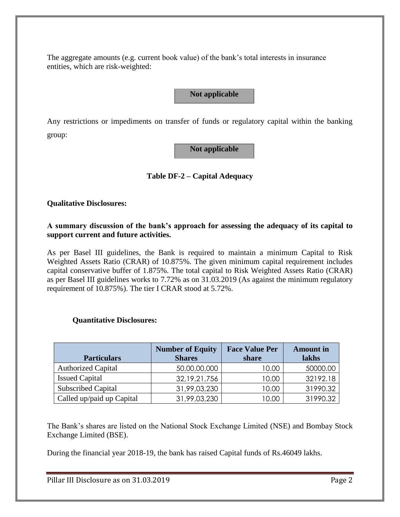The aggregate amounts (e.g. current book value) of the bank's total interests in insurance entities, which are risk-weighted:

# **Not applicable**

Any restrictions or impediments on transfer of funds or regulatory capital within the banking group:

**Not applicable**

# **Table DF-2 – Capital Adequacy**

**Qualitative Disclosures:**

**A summary discussion of the bank's approach for assessing the adequacy of its capital to support current and future activities.**

As per Basel III guidelines, the Bank is required to maintain a minimum Capital to Risk Weighted Assets Ratio (CRAR) of 10.875%. The given minimum capital requirement includes capital conservative buffer of 1.875%. The total capital to Risk Weighted Assets Ratio (CRAR) as per Basel III guidelines works to 7.72% as on 31.03.2019 (As against the minimum regulatory requirement of 10.875%). The tier I CRAR stood at 5.72%.

| <b>Particulars</b>        | <b>Number of Equity</b><br><b>Shares</b> | <b>Face Value Per</b><br>share | <b>Amount</b> in<br>lakhs |
|---------------------------|------------------------------------------|--------------------------------|---------------------------|
| <b>Authorized Capital</b> | 50,00,00,000                             | 10.00                          | 50000.00                  |
| <b>Issued Capital</b>     | 32, 19, 21, 756                          | 10.00                          | 32192.18                  |
| <b>Subscribed Capital</b> | 31,99,03,230                             | 10.00                          | 31990.32                  |
| Called up/paid up Capital | 31,99,03,230                             | 0.00                           | 31990.32                  |

### **Quantitative Disclosures:**

The Bank's shares are listed on the National Stock Exchange Limited (NSE) and Bombay Stock Exchange Limited (BSE).

During the financial year 2018-19, the bank has raised Capital funds of Rs.46049 lakhs.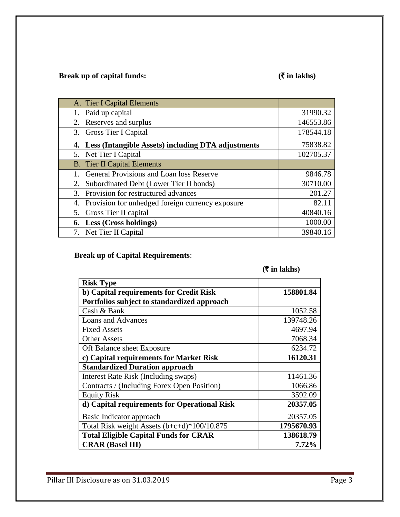# **Break up of capital funds:** (₹ **in lakhs**)

| A. Tier I Capital Elements                             |           |
|--------------------------------------------------------|-----------|
| Paid up capital                                        | 31990.32  |
| 2. Reserves and surplus                                | 146553.86 |
| 3. Gross Tier I Capital                                | 178544.18 |
| 4. Less (Intangible Assets) including DTA adjustments  | 75838.82  |
| 5. Net Tier I Capital                                  | 102705.37 |
| <b>B.</b> Tier II Capital Elements                     |           |
| General Provisions and Loan loss Reserve               | 9846.78   |
| Subordinated Debt (Lower Tier II bonds)<br>2.          | 30710.00  |
| Provision for restructured advances<br>3.              | 201.27    |
| Provision for unhedged foreign currency exposure<br>4. | 82.11     |
| 5. Gross Tier II capital                               | 40840.16  |
| 6. Less (Cross holdings)                               | 1000.00   |
| 7. Net Tier II Capital                                 | 39840.16  |

# **Break up of Capital Requirements**:

# $(\bar{\bar{\mathbf{x}}}$  in lakhs)

| <b>Risk Type</b>                             |            |
|----------------------------------------------|------------|
| b) Capital requirements for Credit Risk      | 158801.84  |
| Portfolios subject to standardized approach  |            |
| Cash & Bank                                  | 1052.58    |
| <b>Loans and Advances</b>                    | 139748.26  |
| <b>Fixed Assets</b>                          | 4697.94    |
| <b>Other Assets</b>                          | 7068.34    |
| Off Balance sheet Exposure                   | 6234.72    |
| c) Capital requirements for Market Risk      | 16120.31   |
| <b>Standardized Duration approach</b>        |            |
| Interest Rate Risk (Including swaps)         | 11461.36   |
| Contracts / (Including Forex Open Position)  | 1066.86    |
| <b>Equity Risk</b>                           | 3592.09    |
| d) Capital requirements for Operational Risk | 20357.05   |
| Basic Indicator approach                     | 20357.05   |
| Total Risk weight Assets (b+c+d)*100/10.875  | 1795670.93 |
| <b>Total Eligible Capital Funds for CRAR</b> | 138618.79  |
| <b>CRAR (Basel III)</b>                      | 7.72%      |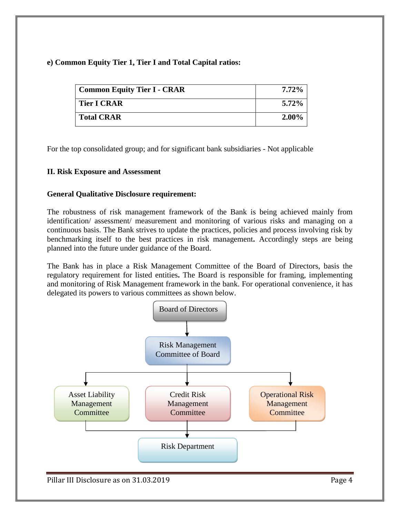# **e) Common Equity Tier 1, Tier I and Total Capital ratios:**

| <b>Common Equity Tier I - CRAR</b> | $7.72\%$ |
|------------------------------------|----------|
| <b>Tier I CRAR</b>                 | $5.72\%$ |
| <b>Total CRAR</b>                  | $2.00\%$ |

For the top consolidated group; and for significant bank subsidiaries - Not applicable

# **II. Risk Exposure and Assessment**

# **General Qualitative Disclosure requirement:**

The robustness of risk management framework of the Bank is being achieved mainly from identification/ assessment/ measurement and monitoring of various risks and managing on a continuous basis. The Bank strives to update the practices, policies and process involving risk by benchmarking itself to the best practices in risk management**.** Accordingly steps are being planned into the future under guidance of the Board.

The Bank has in place a Risk Management Committee of the Board of Directors, basis the regulatory requirement for listed entities**.** The Board is responsible for framing, implementing and monitoring of Risk Management framework in the bank. For operational convenience, it has delegated its powers to various committees as shown below.

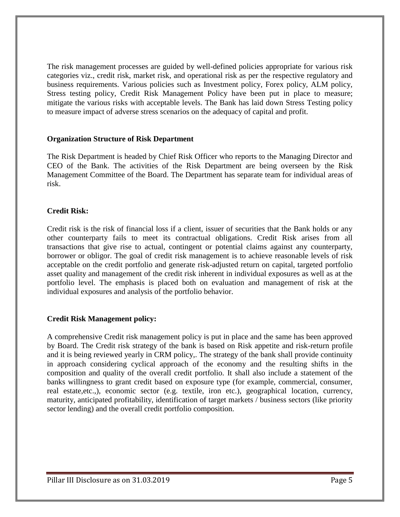The risk management processes are guided by well-defined policies appropriate for various risk categories viz., credit risk, market risk, and operational risk as per the respective regulatory and business requirements. Various policies such as Investment policy, Forex policy, ALM policy, Stress testing policy, Credit Risk Management Policy have been put in place to measure; mitigate the various risks with acceptable levels. The Bank has laid down Stress Testing policy to measure impact of adverse stress scenarios on the adequacy of capital and profit.

# **Organization Structure of Risk Department**

The Risk Department is headed by Chief Risk Officer who reports to the Managing Director and CEO of the Bank. The activities of the Risk Department are being overseen by the Risk Management Committee of the Board. The Department has separate team for individual areas of risk.

# **Credit Risk:**

Credit risk is the risk of financial loss if a client, issuer of securities that the Bank holds or any other counterparty fails to meet its contractual obligations. Credit Risk arises from all transactions that give rise to actual, contingent or potential claims against any counterparty, borrower or obligor. The goal of credit risk management is to achieve reasonable levels of risk acceptable on the credit portfolio and generate risk-adjusted return on capital, targeted portfolio asset quality and management of the credit risk inherent in individual exposures as well as at the portfolio level. The emphasis is placed both on evaluation and management of risk at the individual exposures and analysis of the portfolio behavior.

# **Credit Risk Management policy:**

A comprehensive Credit risk management policy is put in place and the same has been approved by Board. The Credit risk strategy of the bank is based on Risk appetite and risk-return profile and it is being reviewed yearly in CRM policy,. The strategy of the bank shall provide continuity in approach considering cyclical approach of the economy and the resulting shifts in the composition and quality of the overall credit portfolio. It shall also include a statement of the banks willingness to grant credit based on exposure type (for example, commercial, consumer, real estate,etc.,), economic sector (e.g. textile, iron etc.), geographical location, currency, maturity, anticipated profitability, identification of target markets / business sectors (like priority sector lending) and the overall credit portfolio composition.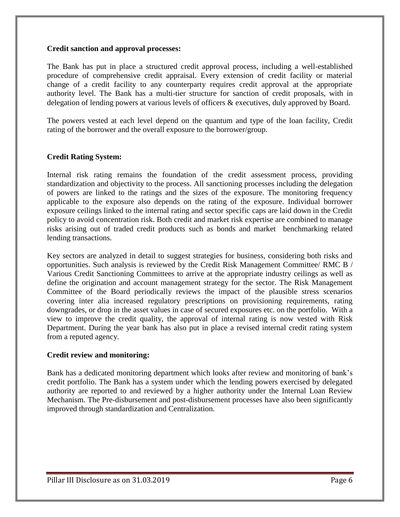### **Credit sanction and approval processes:**

The Bank has put in place a structured credit approval process, including a well-established procedure of comprehensive credit appraisal. Every extension of credit facility or material change of a credit facility to any counterparty requires credit approval at the appropriate authority level. The Bank has a multi-tier structure for sanction of credit proposals, with in delegation of lending powers at various levels of officers & executives, duly approved by Board.

The powers vested at each level depend on the quantum and type of the loan facility, Credit rating of the borrower and the overall exposure to the borrower/group.

## **Credit Rating System:**

Internal risk rating remains the foundation of the credit assessment process, providing standardization and objectivity to the process. All sanctioning processes including the delegation of powers are linked to the ratings and the sizes of the exposure. The monitoring frequency applicable to the exposure also depends on the rating of the exposure. Individual borrower exposure ceilings linked to the internal rating and sector specific caps are laid down in the Credit policy to avoid concentration risk. Both credit and market risk expertise are combined to manage risks arising out of traded credit products such as bonds and market benchmarking related lending transactions.

Key sectors are analyzed in detail to suggest strategies for business, considering both risks and opportunities. Such analysis is reviewed by the Credit Risk Management Committee/ RMC B / Various Credit Sanctioning Committees to arrive at the appropriate industry ceilings as well as define the origination and account management strategy for the sector. The Risk Management Committee of the Board periodically reviews the impact of the plausible stress scenarios covering inter alia increased regulatory prescriptions on provisioning requirements, rating downgrades, or drop in the asset values in case of secured exposures etc. on the portfolio. With a view to improve the credit quality, the approval of internal rating is now vested with Risk Department. During the year bank has also put in place a revised internal credit rating system from a reputed agency.

## **Credit review and monitoring:**

Bank has a dedicated monitoring department which looks after review and monitoring of bank's credit portfolio. The Bank has a system under which the lending powers exercised by delegated authority are reported to and reviewed by a higher authority under the Internal Loan Review Mechanism. The Pre-disbursement and post-disbursement processes have also been significantly improved through standardization and Centralization.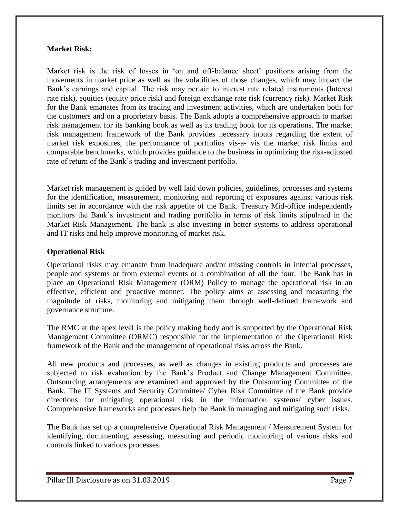# **Market Risk:**

Market risk is the risk of losses in 'on and off-balance sheet' positions arising from the movements in market price as well as the volatilities of those changes, which may impact the Bank's earnings and capital. The risk may pertain to interest rate related instruments (Interest rate risk), equities (equity price risk) and foreign exchange rate risk (currency risk). Market Risk for the Bank emanates from its trading and investment activities, which are undertaken both for the customers and on a proprietary basis. The Bank adopts a comprehensive approach to market risk management for its banking book as well as its trading book for its operations. The market risk management framework of the Bank provides necessary inputs regarding the extent of market risk exposures, the performance of portfolios vis-a- vis the market risk limits and comparable benchmarks, which provides guidance to the business in optimizing the risk-adjusted rate of return of the Bank's trading and investment portfolio.

Market risk management is guided by well laid down policies, guidelines, processes and systems for the identification, measurement, monitoring and reporting of exposures against various risk limits set in accordance with the risk appetite of the Bank. Treasury Mid-office independently monitors the Bank's investment and trading portfolio in terms of risk limits stipulated in the Market Risk Management. The bank is also investing in better systems to address operational and IT risks and help improve monitoring of market risk.

# **Operational Risk**

Operational risks may emanate from inadequate and/or missing controls in internal processes, people and systems or from external events or a combination of all the four. The Bank has in place an Operational Risk Management (ORM) Policy to manage the operational risk in an effective, efficient and proactive manner. The policy aims at assessing and measuring the magnitude of risks, monitoring and mitigating them through well-defined framework and governance structure.

The RMC at the apex level is the policy making body and is supported by the Operational Risk Management Committee (ORMC) responsible for the implementation of the Operational Risk framework of the Bank and the management of operational risks across the Bank.

All new products and processes, as well as changes in existing products and processes are subjected to risk evaluation by the Bank's Product and Change Management Committee. Outsourcing arrangements are examined and approved by the Outsourcing Committee of the Bank. The IT Systems and Security Committee/ Cyber Risk Committee of the Bank provide directions for mitigating operational risk in the information systems/ cyber issues. Comprehensive frameworks and processes help the Bank in managing and mitigating such risks.

The Bank has set up a comprehensive Operational Risk Management / Measurement System for identifying, documenting, assessing, measuring and periodic monitoring of various risks and controls linked to various processes.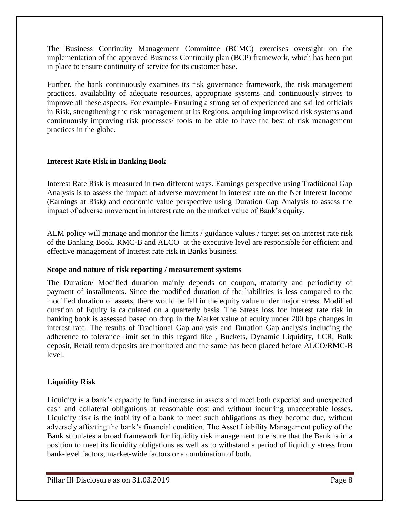The Business Continuity Management Committee (BCMC) exercises oversight on the implementation of the approved Business Continuity plan (BCP) framework, which has been put in place to ensure continuity of service for its customer base.

Further, the bank continuously examines its risk governance framework, the risk management practices, availability of adequate resources, appropriate systems and continuously strives to improve all these aspects. For example- Ensuring a strong set of experienced and skilled officials in Risk, strengthening the risk management at its Regions, acquiring improvised risk systems and continuously improving risk processes/ tools to be able to have the best of risk management practices in the globe.

# **Interest Rate Risk in Banking Book**

Interest Rate Risk is measured in two different ways. Earnings perspective using Traditional Gap Analysis is to assess the impact of adverse movement in interest rate on the Net Interest Income (Earnings at Risk) and economic value perspective using Duration Gap Analysis to assess the impact of adverse movement in interest rate on the market value of Bank's equity.

ALM policy will manage and monitor the limits / guidance values / target set on interest rate risk of the Banking Book. RMC-B and ALCO at the executive level are responsible for efficient and effective management of Interest rate risk in Banks business.

# **Scope and nature of risk reporting / measurement systems**

The Duration/ Modified duration mainly depends on coupon, maturity and periodicity of payment of installments. Since the modified duration of the liabilities is less compared to the modified duration of assets, there would be fall in the equity value under major stress. Modified duration of Equity is calculated on a quarterly basis. The Stress loss for Interest rate risk in banking book is assessed based on drop in the Market value of equity under 200 bps changes in interest rate. The results of Traditional Gap analysis and Duration Gap analysis including the adherence to tolerance limit set in this regard like , Buckets, Dynamic Liquidity, LCR, Bulk deposit, Retail term deposits are monitored and the same has been placed before ALCO/RMC-B level.

# **Liquidity Risk**

Liquidity is a bank's capacity to fund increase in assets and meet both expected and unexpected cash and collateral obligations at reasonable cost and without incurring unacceptable losses. Liquidity risk is the inability of a bank to meet such obligations as they become due, without adversely affecting the bank's financial condition. The Asset Liability Management policy of the Bank stipulates a broad framework for liquidity risk management to ensure that the Bank is in a position to meet its liquidity obligations as well as to withstand a period of liquidity stress from bank-level factors, market-wide factors or a combination of both.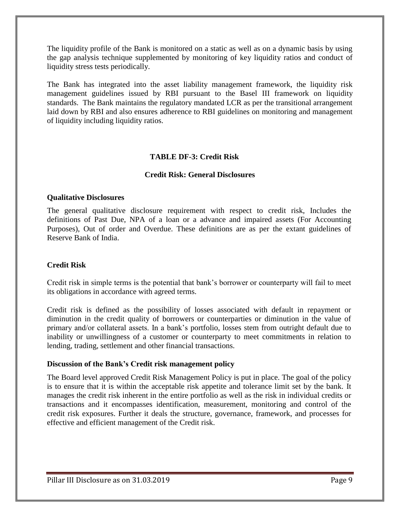The liquidity profile of the Bank is monitored on a static as well as on a dynamic basis by using the gap analysis technique supplemented by monitoring of key liquidity ratios and conduct of liquidity stress tests periodically.

The Bank has integrated into the asset liability management framework, the liquidity risk management guidelines issued by RBI pursuant to the Basel III framework on liquidity standards. The Bank maintains the regulatory mandated LCR as per the transitional arrangement laid down by RBI and also ensures adherence to RBI guidelines on monitoring and management of liquidity including liquidity ratios.

# **TABLE DF-3: Credit Risk**

# **Credit Risk: General Disclosures**

## **Qualitative Disclosures**

The general qualitative disclosure requirement with respect to credit risk, Includes the definitions of Past Due, NPA of a loan or a advance and impaired assets (For Accounting Purposes), Out of order and Overdue. These definitions are as per the extant guidelines of Reserve Bank of India.

# **Credit Risk**

Credit risk in simple terms is the potential that bank's borrower or counterparty will fail to meet its obligations in accordance with agreed terms.

Credit risk is defined as the possibility of losses associated with default in repayment or diminution in the credit quality of borrowers or counterparties or diminution in the value of primary and/or collateral assets. In a bank's portfolio, losses stem from outright default due to inability or unwillingness of a customer or counterparty to meet commitments in relation to lending, trading, settlement and other financial transactions.

## **Discussion of the Bank's Credit risk management policy**

The Board level approved Credit Risk Management Policy is put in place. The goal of the policy is to ensure that it is within the acceptable risk appetite and tolerance limit set by the bank. It manages the credit risk inherent in the entire portfolio as well as the risk in individual credits or transactions and it encompasses identification, measurement, monitoring and control of the credit risk exposures. Further it deals the structure, governance, framework, and processes for effective and efficient management of the Credit risk.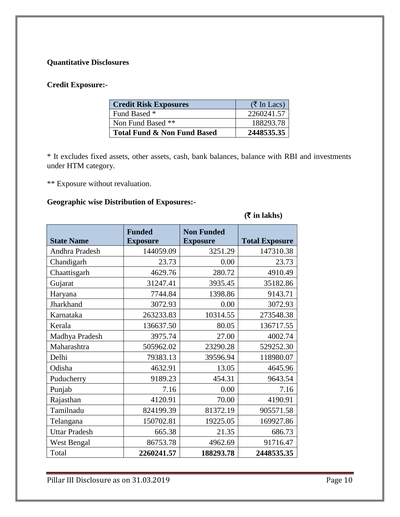# **Quantitative Disclosures**

# **Credit Exposure:-**

| <b>Credit Risk Exposures</b>           | $(\overline{\tau}$ In Lacs) |
|----------------------------------------|-----------------------------|
| Fund Based *                           | 2260241.57                  |
| Non Fund Based **                      | 188293.78                   |
| <b>Total Fund &amp; Non Fund Based</b> | 2448535.35                  |

\* It excludes fixed assets, other assets, cash, bank balances, balance with RBI and investments under HTM category.

\*\* Exposure without revaluation.

# **Geographic wise Distribution of Exposures:-**

 $(\bar{\bar{\mathbf{x}}}$  in lakhs)

| <b>State Name</b>    | <b>Funded</b><br><b>Exposure</b> | <b>Non Funded</b><br><b>Exposure</b> | <b>Total Exposure</b> |
|----------------------|----------------------------------|--------------------------------------|-----------------------|
| Andhra Pradesh       | 144059.09                        | 3251.29                              | 147310.38             |
| Chandigarh           | 23.73                            | 0.00                                 | 23.73                 |
| Chaattisgarh         | 4629.76                          | 280.72                               | 4910.49               |
| Gujarat              | 31247.41                         | 3935.45                              | 35182.86              |
| Haryana              | 7744.84                          | 1398.86                              | 9143.71               |
| Jharkhand            | 3072.93                          | 0.00                                 | 3072.93               |
| Karnataka            | 263233.83                        | 10314.55                             | 273548.38             |
| Kerala               | 136637.50                        | 80.05                                | 136717.55             |
| Madhya Pradesh       | 3975.74                          | 27.00                                | 4002.74               |
| Maharashtra          | 505962.02                        | 23290.28                             | 529252.30             |
| Delhi                | 79383.13                         | 39596.94                             | 118980.07             |
| Odisha               | 4632.91                          | 13.05                                | 4645.96               |
| Puducherry           | 9189.23                          | 454.31                               | 9643.54               |
| Punjab               | 7.16                             | 0.00                                 | 7.16                  |
| Rajasthan            | 4120.91                          | 70.00                                | 4190.91               |
| Tamilnadu            | 824199.39                        | 81372.19                             | 905571.58             |
| Telangana            | 150702.81                        | 19225.05                             | 169927.86             |
| <b>Uttar Pradesh</b> | 665.38                           | 21.35                                | 686.73                |
| <b>West Bengal</b>   | 86753.78                         | 4962.69                              | 91716.47              |
| Total                | 2260241.57                       | 188293.78                            | 2448535.35            |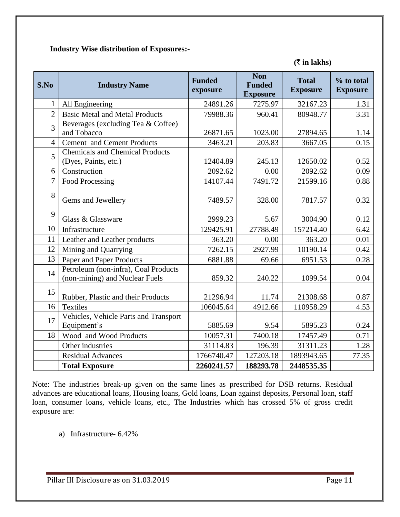# **Industry Wise distribution of Exposures:-**

 $(\bar{\bar{\mathbf{x}}}$  in lakhs)

| S.No           | <b>Industry Name</b>                                                   | <b>Funded</b><br>exposure | <b>Non</b><br><b>Funded</b><br><b>Exposure</b> | <b>Total</b><br><b>Exposure</b> | % to total<br><b>Exposure</b> |
|----------------|------------------------------------------------------------------------|---------------------------|------------------------------------------------|---------------------------------|-------------------------------|
| 1              | All Engineering                                                        | 24891.26                  | 7275.97                                        | 32167.23                        | 1.31                          |
| $\overline{2}$ | <b>Basic Metal and Metal Products</b>                                  | 79988.36                  | 960.41                                         | 80948.77                        | 3.31                          |
| 3              | Beverages (excluding Tea & Coffee)<br>and Tobacco                      | 26871.65                  | 1023.00                                        | 27894.65                        | 1.14                          |
| $\overline{4}$ | <b>Cement</b> and Cement Products                                      | 3463.21                   | 203.83                                         | 3667.05                         | 0.15                          |
| 5              | <b>Chemicals and Chemical Products</b><br>(Dyes, Paints, etc.)         | 12404.89                  | 245.13                                         | 12650.02                        | 0.52                          |
| 6              | Construction                                                           | 2092.62                   | 0.00                                           | 2092.62                         | 0.09                          |
| 7              | Food Processing                                                        | 14107.44                  | 7491.72                                        | 21599.16                        | 0.88                          |
| 8              | Gems and Jewellery                                                     | 7489.57                   | 328.00                                         | 7817.57                         | 0.32                          |
| 9              | Glass & Glassware                                                      | 2999.23                   | 5.67                                           | 3004.90                         | 0.12                          |
| 10             | Infrastructure                                                         | 129425.91                 | 27788.49                                       | 157214.40                       | 6.42                          |
| 11             | Leather and Leather products                                           | 363.20                    | 0.00                                           | 363.20                          | 0.01                          |
| 12             | Mining and Quarrying                                                   | 7262.15                   | 2927.99                                        | 10190.14                        | 0.42                          |
| 13             | Paper and Paper Products                                               | 6881.88                   | 69.66                                          | 6951.53                         | 0.28                          |
| 14             | Petroleum (non-infra), Coal Products<br>(non-mining) and Nuclear Fuels | 859.32                    | 240.22                                         | 1099.54                         | 0.04                          |
| 15             | Rubber, Plastic and their Products                                     | 21296.94                  | 11.74                                          | 21308.68                        | 0.87                          |
| 16             | Textiles                                                               | 106045.64                 | 4912.66                                        | 110958.29                       | 4.53                          |
| 17             | Vehicles, Vehicle Parts and Transport<br>Equipment's                   | 5885.69                   | 9.54                                           | 5895.23                         | 0.24                          |
| 18             | Wood and Wood Products                                                 | 10057.31                  | 7400.18                                        | 17457.49                        | 0.71                          |
|                | Other industries                                                       | 31114.83                  | 196.39                                         | 31311.23                        | 1.28                          |
|                | <b>Residual Advances</b>                                               | 1766740.47                | 127203.18                                      | 1893943.65                      | 77.35                         |
|                | <b>Total Exposure</b>                                                  | 2260241.57                | 188293.78                                      | 2448535.35                      |                               |

Note: The industries break-up given on the same lines as prescribed for DSB returns. Residual advances are educational loans, Housing loans, Gold loans, Loan against deposits, Personal loan, staff loan, consumer loans, vehicle loans, etc., The Industries which has crossed 5% of gross credit exposure are:

a) Infrastructure- 6.42%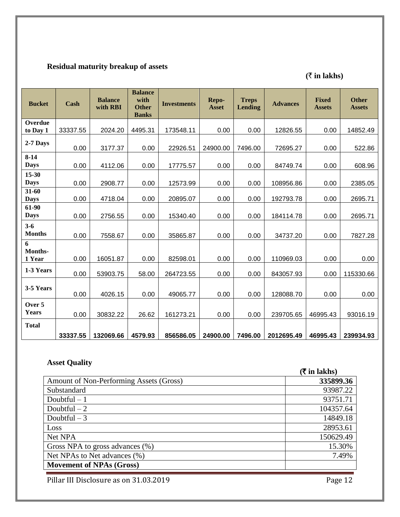# **Residual maturity breakup of assets**

# $(\bar{\bar{\mathbf{x}}}$  in lakhs)

| <b>Bucket</b>            | Cash     | <b>Balance</b><br>with RBI | <b>Balance</b><br>with<br><b>Other</b><br><b>Banks</b> | <b>Investments</b> | Repo-<br><b>Asset</b> | <b>Treps</b><br>Lending | <b>Advances</b> | <b>Fixed</b><br><b>Assets</b> | <b>Other</b><br><b>Assets</b> |
|--------------------------|----------|----------------------------|--------------------------------------------------------|--------------------|-----------------------|-------------------------|-----------------|-------------------------------|-------------------------------|
| Overdue<br>to Day 1      | 33337.55 | 2024.20                    | 4495.31                                                | 173548.11          | 0.00                  | 0.00                    | 12826.55        | 0.00                          | 14852.49                      |
| 2-7 Days                 | 0.00     | 3177.37                    | 0.00                                                   | 22926.51           | 24900.00              | 7496.00                 | 72695.27        | 0.00                          | 522.86                        |
| $8-14$<br><b>Days</b>    | 0.00     | 4112.06                    | 0.00                                                   | 17775.57           | 0.00                  | 0.00                    | 84749.74        | 0.00                          | 608.96                        |
| $15 - 30$<br><b>Days</b> | 0.00     | 2908.77                    | 0.00                                                   | 12573.99           | 0.00                  | 0.00                    | 108956.86       | 0.00                          | 2385.05                       |
| $31 - 60$<br><b>Days</b> | 0.00     | 4718.04                    | 0.00                                                   | 20895.07           | 0.00                  | 0.00                    | 192793.78       | 0.00                          | 2695.71                       |
| 61-90<br><b>Days</b>     | 0.00     | 2756.55                    | 0.00                                                   | 15340.40           | 0.00                  | 0.00                    | 184114.78       | 0.00                          | 2695.71                       |
| $3 - 6$<br><b>Months</b> | 0.00     | 7558.67                    | 0.00                                                   | 35865.87           | 0.00                  | 0.00                    | 34737.20        | 0.00                          | 7827.28                       |
| 6<br>Months-<br>1 Year   | 0.00     | 16051.87                   | 0.00                                                   | 82598.01           | 0.00                  | 0.00                    | 110969.03       | 0.00                          | 0.00                          |
| 1-3 Years                | 0.00     | 53903.75                   | 58.00                                                  | 264723.55          | 0.00                  | 0.00                    | 843057.93       | 0.00                          | 115330.66                     |
| 3-5 Years                | 0.00     | 4026.15                    | 0.00                                                   | 49065.77           | 0.00                  | 0.00                    | 128088.70       | 0.00                          | 0.00                          |
| Over 5<br>Years          | 0.00     | 30832.22                   | 26.62                                                  | 161273.21          | 0.00                  | 0.00                    | 239705.65       | 46995.43                      | 93016.19                      |
| <b>Total</b>             | 33337.55 | 132069.66                  | 4579.93                                                | 856586.05          | 24900.00              | 7496.00                 | 2012695.49      | 46995.43                      | 239934.93                     |

# **Asset Quality**

|                                         | $(\bar{\tau}$ in lakhs) |
|-----------------------------------------|-------------------------|
| Amount of Non-Performing Assets (Gross) | 335899.36               |
| Substandard                             | 93987.22                |
| Doubtful $-1$                           | 93751.71                |
| Doubtful $-2$                           | 104357.64               |
| Doubtful $-3$                           | 14849.18                |
| Loss                                    | 28953.61                |
| Net NPA                                 | 150629.49               |
| Gross NPA to gross advances $(\%)$      | 15.30%                  |
| Net NPAs to Net advances (%)            | 7.49%                   |
| <b>Movement of NPAs (Gross)</b>         |                         |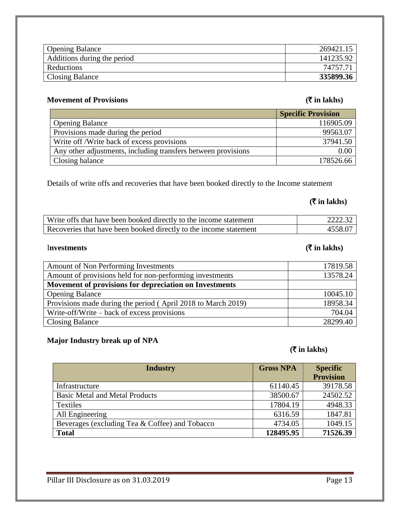| <b>Opening Balance</b>      | 269421.15 |
|-----------------------------|-----------|
| Additions during the period | 141235.92 |
| Reductions                  | 74757.71  |
| Closing Balance             | 335899.36 |

# **Movement of Provisions (** $\overline{\tau}$  in lakhs)

|                                                               | <b>Specific Provision</b> |
|---------------------------------------------------------------|---------------------------|
| <b>Opening Balance</b>                                        | 116905.09                 |
| Provisions made during the period                             | 99563.07                  |
| Write off /Write back of excess provisions                    | 37941.50                  |
| Any other adjustments, including transfers between provisions | 0.00                      |
| Closing balance                                               | 178526.66                 |

Details of write offs and recoveries that have been booked directly to the Income statement

# **(**` **in lakhs)**

| Write offs that have been booked directly to the income statement | 2222.32 |
|-------------------------------------------------------------------|---------|
| Recoveries that have been booked directly to the income statement | 4558.07 |

# I**nvestments (**` **in lakhs)**

| Amount of Non Performing Investments                         | 17819.58 |
|--------------------------------------------------------------|----------|
| Amount of provisions held for non-performing investments     | 13578.24 |
| Movement of provisions for depreciation on Investments       |          |
| <b>Opening Balance</b>                                       | 10045.10 |
| Provisions made during the period (April 2018 to March 2019) | 18958.34 |
| Write-off/Write – back of excess provisions                  | 704.04   |
| Closing Balance                                              | 28299.40 |

# **Major Industry break up of NPA**

# **(**` **in lakhs)**

| <b>Industry</b>                                | <b>Gross NPA</b> | <b>Specific</b><br><b>Provision</b> |
|------------------------------------------------|------------------|-------------------------------------|
| Infrastructure                                 | 61140.45         | 39178.58                            |
| <b>Basic Metal and Metal Products</b>          | 38500.67         | 24502.52                            |
| Textiles                                       | 17804.19         | 4948.33                             |
| All Engineering                                | 6316.59          | 1847.81                             |
| Beverages (excluding Tea & Coffee) and Tobacco | 4734.05          | 1049.15                             |
| <b>Total</b>                                   | 128495.95        | 71526.39                            |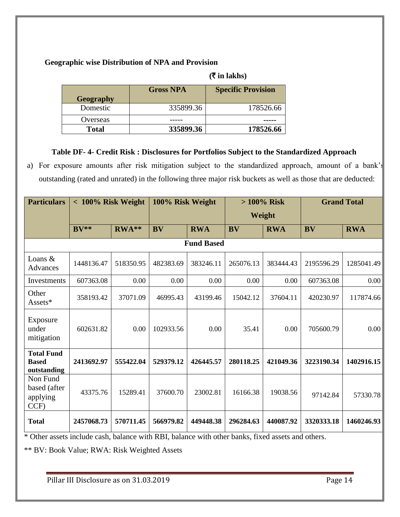# **Geographic wise Distribution of NPA and Provision**

# **(**` **in lakhs)**

|                  | <b>Gross NPA</b> | <b>Specific Provision</b> |
|------------------|------------------|---------------------------|
| <b>Geography</b> |                  |                           |
| Domestic         | 335899.36        | 178526.66                 |
| Overseas         |                  |                           |
| <b>Total</b>     | 335899.36        | 178526.66                 |

# **Table DF- 4- Credit Risk : Disclosures for Portfolios Subject to the Standardized Approach**

a) For exposure amounts after risk mitigation subject to the standardized approach, amount of a bank's outstanding (rated and unrated) in the following three major risk buckets as well as those that are deducted:

| <b>Particulars</b>                               | 100% Risk Weight<br>$>100\%$ Risk<br>$< 100\%$ Risk Weight |           |           | <b>Grand Total</b> |           |            |            |            |
|--------------------------------------------------|------------------------------------------------------------|-----------|-----------|--------------------|-----------|------------|------------|------------|
|                                                  |                                                            |           |           |                    | Weight    |            |            |            |
|                                                  | $BV**$                                                     | RWA**     | <b>BV</b> | <b>RWA</b>         | <b>BV</b> | <b>RWA</b> | <b>BV</b>  | <b>RWA</b> |
|                                                  |                                                            |           |           | <b>Fund Based</b>  |           |            |            |            |
| Loans $&$<br>Advances                            | 1448136.47                                                 | 518350.95 | 482383.69 | 383246.11          | 265076.13 | 383444.43  | 2195596.29 | 1285041.49 |
| Investments                                      | 607363.08                                                  | 0.00      | 0.00      | 0.00               | 0.00      | 0.00       | 607363.08  | $0.00\,$   |
| Other<br>Assets*                                 | 358193.42                                                  | 37071.09  | 46995.43  | 43199.46           | 15042.12  | 37604.11   | 420230.97  | 117874.66  |
| Exposure<br>under<br>mitigation                  | 602631.82                                                  | 0.00      | 102933.56 | 0.00               | 35.41     | 0.00       | 705600.79  | $0.00\,$   |
| <b>Total Fund</b><br><b>Based</b><br>outstanding | 2413692.97                                                 | 555422.04 | 529379.12 | 426445.57          | 280118.25 | 421049.36  | 3223190.34 | 1402916.15 |
| Non Fund<br>based (after<br>applying<br>CCF)     | 43375.76                                                   | 15289.41  | 37600.70  | 23002.81           | 16166.38  | 19038.56   | 97142.84   | 57330.78   |
| <b>Total</b>                                     | 2457068.73                                                 | 570711.45 | 566979.82 | 449448.38          | 296284.63 | 440087.92  | 3320333.18 | 1460246.93 |

\* Other assets include cash, balance with RBI, balance with other banks, fixed assets and others.

\*\* BV: Book Value; RWA: Risk Weighted Assets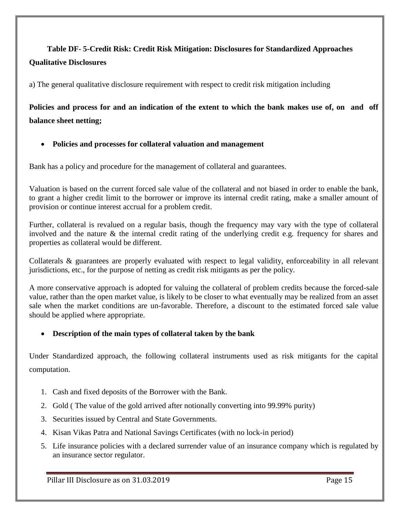# **Table DF- 5-Credit Risk: Credit Risk Mitigation: Disclosures for Standardized Approaches Qualitative Disclosures**

a) The general qualitative disclosure requirement with respect to credit risk mitigation including

**Policies and process for and an indication of the extent to which the bank makes use of, on and off balance sheet netting;**

**Policies and processes for collateral valuation and management**

Bank has a policy and procedure for the management of collateral and guarantees.

Valuation is based on the current forced sale value of the collateral and not biased in order to enable the bank, to grant a higher credit limit to the borrower or improve its internal credit rating, make a smaller amount of provision or continue interest accrual for a problem credit.

Further, collateral is revalued on a regular basis, though the frequency may vary with the type of collateral involved and the nature & the internal credit rating of the underlying credit e.g. frequency for shares and properties as collateral would be different.

Collaterals & guarantees are properly evaluated with respect to legal validity, enforceability in all relevant jurisdictions, etc., for the purpose of netting as credit risk mitigants as per the policy.

A more conservative approach is adopted for valuing the collateral of problem credits because the forced-sale value, rather than the open market value, is likely to be closer to what eventually may be realized from an asset sale when the market conditions are un-favorable. Therefore, a discount to the estimated forced sale value should be applied where appropriate.

# **Description of the main types of collateral taken by the bank**

Under Standardized approach, the following collateral instruments used as risk mitigants for the capital computation.

- 1. Cash and fixed deposits of the Borrower with the Bank.
- 2. Gold ( The value of the gold arrived after notionally converting into 99.99% purity)
- 3. Securities issued by Central and State Governments.
- 4. Kisan Vikas Patra and National Savings Certificates (with no lock-in period)
- 5. Life insurance policies with a declared surrender value of an insurance company which is regulated by an insurance sector regulator.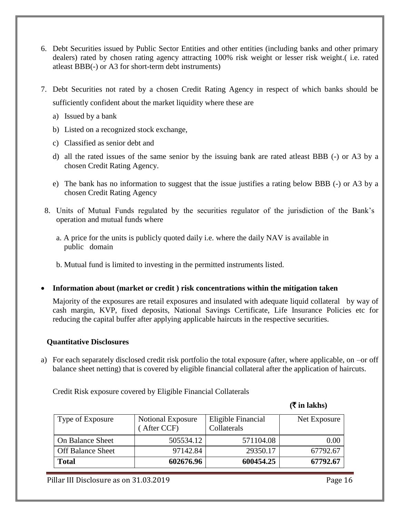- 6. Debt Securities issued by Public Sector Entities and other entities (including banks and other primary dealers) rated by chosen rating agency attracting 100% risk weight or lesser risk weight.( i.e. rated atleast BBB(-) or A3 for short-term debt instruments)
- 7. Debt Securities not rated by a chosen Credit Rating Agency in respect of which banks should be sufficiently confident about the market liquidity where these are
	- a) Issued by a bank
	- b) Listed on a recognized stock exchange,
	- c) Classified as senior debt and
	- d) all the rated issues of the same senior by the issuing bank are rated atleast BBB (-) or A3 by a chosen Credit Rating Agency.
	- e) The bank has no information to suggest that the issue justifies a rating below BBB (-) or A3 by a chosen Credit Rating Agency
- 8. Units of Mutual Funds regulated by the securities regulator of the jurisdiction of the Bank's operation and mutual funds where
	- a. A price for the units is publicly quoted daily i.e. where the daily NAV is available in public domain
	- b. Mutual fund is limited to investing in the permitted instruments listed.
- **Information about (market or credit ) risk concentrations within the mitigation taken**

Majority of the exposures are retail exposures and insulated with adequate liquid collateral by way of cash margin, KVP, fixed deposits, National Savings Certificate, Life Insurance Policies etc for reducing the capital buffer after applying applicable haircuts in the respective securities.

## **Quantitative Disclosures**

a) For each separately disclosed credit risk portfolio the total exposure (after, where applicable, on –or off balance sheet netting) that is covered by eligible financial collateral after the application of haircuts.

Credit Risk exposure covered by Eligible Financial Collaterals

## **(**` **in lakhs)**

| Type of Exposure         | <b>Notional Exposure</b><br>After CCF) | Eligible Financial<br>Collaterals | Net Exposure |
|--------------------------|----------------------------------------|-----------------------------------|--------------|
| <b>On Balance Sheet</b>  | 505534.12                              | 571104.08                         | $0.00\,$     |
| <b>Off Balance Sheet</b> | 97142.84                               | 29350.17                          | 67792.67     |
| <b>Total</b>             | 602676.96                              | 600454.25                         | 67792.67     |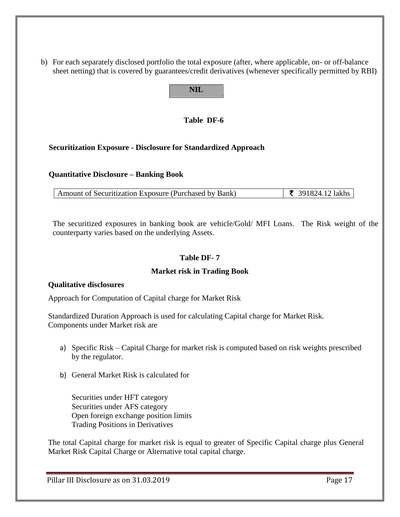b) For each separately disclosed portfolio the total exposure (after, where applicable, on- or off-balance sheet netting) that is covered by guarantees/credit derivatives (whenever specifically permitted by RBI)



# **Table DF-6**

# **Securitization Exposure - Disclosure for Standardized Approach**

## **Quantitative Disclosure – Banking Book**

Amount of Securitization Exposure (Purchased by Bank)  $\frac{1}{5}$  391824.12 lakhs

The securitized exposures in banking book are vehicle/Gold/ MFI Loans. The Risk weight of the counterparty varies based on the underlying Assets.

## **Table DF- 7**

## **Market risk in Trading Book**

### **Qualitative disclosures**

Approach for Computation of Capital charge for Market Risk

Standardized Duration Approach is used for calculating Capital charge for Market Risk. Components under Market risk are

- a) Specific Risk Capital Charge for market risk is computed based on risk weights prescribed by the regulator.
- b) General Market Risk is calculated for

Securities under HFT category Securities under AFS category Open foreign exchange position limits Trading Positions in Derivatives

The total Capital charge for market risk is equal to greater of Specific Capital charge plus General Market Risk Capital Charge or Alternative total capital charge.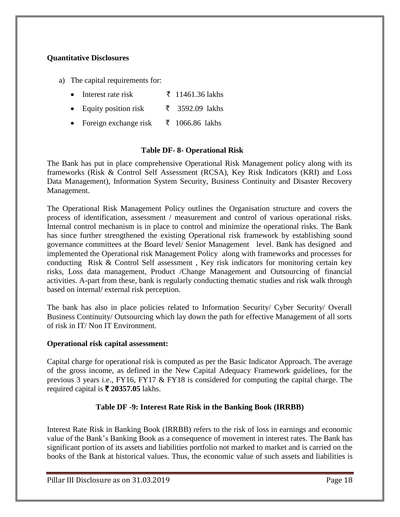# **Quantitative Disclosures**

- a) The capital requirements for:
	- Interest rate risk  $\overline{z}$  11461.36 lakhs
	- Equity position risk  $\bar{\tau}$  3592.09 lakhs
	- Foreign exchange risk  $\bar{\tau}$  1066.86 lakhs

## **Table DF- 8- Operational Risk**

The Bank has put in place comprehensive Operational Risk Management policy along with its frameworks (Risk & Control Self Assessment (RCSA), Key Risk Indicators (KRI) and Loss Data Management), Information System Security, Business Continuity and Disaster Recovery Management.

The Operational Risk Management Policy outlines the Organisation structure and covers the process of identification, assessment / measurement and control of various operational risks. Internal control mechanism is in place to control and minimize the operational risks. The Bank has since further strengthened the existing Operational risk framework by establishing sound governance committees at the Board level/ Senior Management level. Bank has designed and implemented the Operational risk Management Policy along with frameworks and processes for conducting Risk & Control Self assessment , Key risk indicators for monitoring certain key risks, Loss data management, Product /Change Management and Outsourcing of financial activities. A-part from these, bank is regularly conducting thematic studies and risk walk through based on internal/ external risk perception.

The bank has also in place policies related to Information Security/ Cyber Security/ Overall Business Continuity/ Outsourcing which lay down the path for effective Management of all sorts of risk in IT/ Non IT Environment.

## **Operational risk capital assessment:**

Capital charge for operational risk is computed as per the Basic Indicator Approach. The average of the gross income, as defined in the New Capital Adequacy Framework guidelines, for the previous 3 years i.e., FY16, FY17 & FY18 is considered for computing the capital charge. The required capital is  $\bar{\mathbf{\xi}}$  **20357.05** lakhs.

# **Table DF -9: Interest Rate Risk in the Banking Book (IRRBB)**

Interest Rate Risk in Banking Book (IRRBB) refers to the risk of loss in earnings and economic value of the Bank's Banking Book as a consequence of movement in interest rates. The Bank has significant portion of its assets and liabilities portfolio not marked to market and is carried on the books of the Bank at historical values. Thus, the economic value of such assets and liabilities is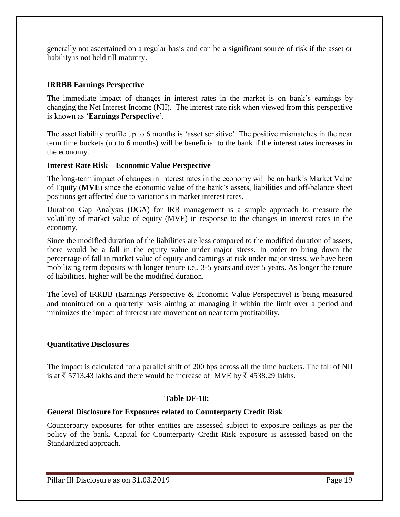generally not ascertained on a regular basis and can be a significant source of risk if the asset or liability is not held till maturity.

# **IRRBB Earnings Perspective**

The immediate impact of changes in interest rates in the market is on bank's earnings by changing the Net Interest Income (NII). The interest rate risk when viewed from this perspective is known as '**Earnings Perspective'**.

The asset liability profile up to 6 months is 'asset sensitive'. The positive mismatches in the near term time buckets (up to 6 months) will be beneficial to the bank if the interest rates increases in the economy.

# **Interest Rate Risk – Economic Value Perspective**

The long-term impact of changes in interest rates in the economy will be on bank's Market Value of Equity (**MVE**) since the economic value of the bank's assets, liabilities and off-balance sheet positions get affected due to variations in market interest rates.

Duration Gap Analysis (DGA) for IRR management is a simple approach to measure the volatility of market value of equity (MVE) in response to the changes in interest rates in the economy.

Since the modified duration of the liabilities are less compared to the modified duration of assets, there would be a fall in the equity value under major stress. In order to bring down the percentage of fall in market value of equity and earnings at risk under major stress, we have been mobilizing term deposits with longer tenure i.e., 3-5 years and over 5 years. As longer the tenure of liabilities, higher will be the modified duration.

The level of IRRBB (Earnings Perspective & Economic Value Perspective) is being measured and monitored on a quarterly basis aiming at managing it within the limit over a period and minimizes the impact of interest rate movement on near term profitability.

## **Quantitative Disclosures**

The impact is calculated for a parallel shift of 200 bps across all the time buckets. The fall of NII is at  $\bar{\tau}$  5713.43 lakhs and there would be increase of MVE by  $\bar{\tau}$  4538.29 lakhs.

## **Table DF-10:**

# **General Disclosure for Exposures related to Counterparty Credit Risk**

Counterparty exposures for other entities are assessed subject to exposure ceilings as per the policy of the bank. Capital for Counterparty Credit Risk exposure is assessed based on the Standardized approach.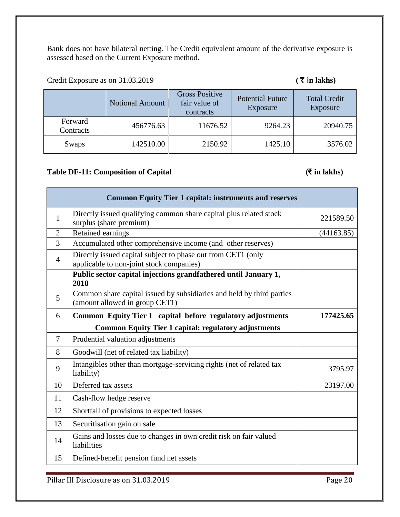Bank does not have bilateral netting. The Credit equivalent amount of the derivative exposure is assessed based on the Current Exposure method.

Credit Exposure as on 31.03.2019 **(** ` i**n lakhs)**

|                      | <b>Notional Amount</b> | <b>Gross Positive</b><br>fair value of<br>contracts | <b>Potential Future</b><br>Exposure | <b>Total Credit</b><br>Exposure |
|----------------------|------------------------|-----------------------------------------------------|-------------------------------------|---------------------------------|
| Forward<br>Contracts | 456776.63              | 11676.52                                            | 9264.23                             | 20940.75                        |
| Swaps                | 142510.00              | 2150.92                                             | 1425.10                             | 3576.02                         |

# **Table DF-11: Composition of Capital (**` **in lakhs)**

|                                                             | <b>Common Equity Tier 1 capital: instruments and reserves</b>                                            |            |  |
|-------------------------------------------------------------|----------------------------------------------------------------------------------------------------------|------------|--|
| $\mathbf{1}$                                                | Directly issued qualifying common share capital plus related stock<br>surplus (share premium)            | 221589.50  |  |
| $\overline{2}$                                              | Retained earnings                                                                                        | (44163.85) |  |
| 3                                                           | Accumulated other comprehensive income (and other reserves)                                              |            |  |
| 4                                                           | Directly issued capital subject to phase out from CET1 (only<br>applicable to non-joint stock companies) |            |  |
|                                                             | Public sector capital injections grandfathered until January 1,<br>2018                                  |            |  |
| 5                                                           | Common share capital issued by subsidiaries and held by third parties<br>(amount allowed in group CET1)  |            |  |
| 6                                                           | Common Equity Tier 1 capital before regulatory adjustments                                               | 177425.65  |  |
| <b>Common Equity Tier 1 capital: regulatory adjustments</b> |                                                                                                          |            |  |
| $\overline{7}$                                              | Prudential valuation adjustments                                                                         |            |  |
| 8                                                           | Goodwill (net of related tax liability)                                                                  |            |  |
| 9                                                           | Intangibles other than mortgage-servicing rights (net of related tax<br>liability)                       | 3795.97    |  |
| 10                                                          | Deferred tax assets                                                                                      | 23197.00   |  |
| 11                                                          | Cash-flow hedge reserve                                                                                  |            |  |
| 12                                                          | Shortfall of provisions to expected losses                                                               |            |  |
| 13                                                          | Securitisation gain on sale                                                                              |            |  |
| 14                                                          | Gains and losses due to changes in own credit risk on fair valued<br>liabilities                         |            |  |
| 15                                                          | Defined-benefit pension fund net assets                                                                  |            |  |

Pillar III Disclosure as on 31.03.2019 Pillar III Disclosure as on 31.03.2019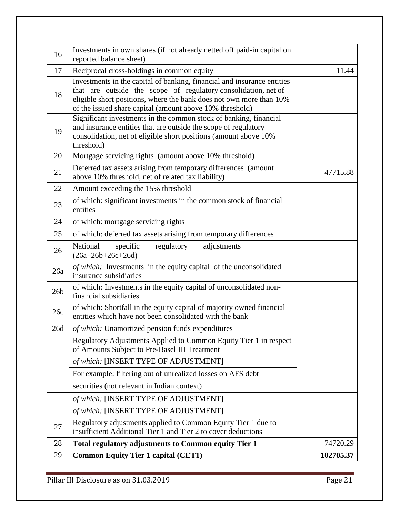| 16              | Investments in own shares (if not already netted off paid-in capital on                                                                                                                                                                                                      |           |
|-----------------|------------------------------------------------------------------------------------------------------------------------------------------------------------------------------------------------------------------------------------------------------------------------------|-----------|
| 17              | reported balance sheet)<br>Reciprocal cross-holdings in common equity                                                                                                                                                                                                        | 11.44     |
| 18              | Investments in the capital of banking, financial and insurance entities<br>that are outside the scope of regulatory consolidation, net of<br>eligible short positions, where the bank does not own more than 10%<br>of the issued share capital (amount above 10% threshold) |           |
| 19              | Significant investments in the common stock of banking, financial<br>and insurance entities that are outside the scope of regulatory<br>consolidation, net of eligible short positions (amount above 10%<br>threshold)                                                       |           |
| 20              | Mortgage servicing rights (amount above 10% threshold)                                                                                                                                                                                                                       |           |
| 21              | Deferred tax assets arising from temporary differences (amount<br>above 10% threshold, net of related tax liability)                                                                                                                                                         | 47715.88  |
| 22              | Amount exceeding the 15% threshold                                                                                                                                                                                                                                           |           |
| 23              | of which: significant investments in the common stock of financial<br>entities                                                                                                                                                                                               |           |
| 24              | of which: mortgage servicing rights                                                                                                                                                                                                                                          |           |
| 25              | of which: deferred tax assets arising from temporary differences                                                                                                                                                                                                             |           |
| 26              | National<br>specific<br>regulatory<br>adjustments<br>$(26a+26b+26c+26d)$                                                                                                                                                                                                     |           |
| 26a             | of which: Investments in the equity capital of the unconsolidated<br>insurance subsidiaries                                                                                                                                                                                  |           |
| 26 <sub>b</sub> | of which: Investments in the equity capital of unconsolidated non-<br>financial subsidiaries                                                                                                                                                                                 |           |
| 26c             | of which: Shortfall in the equity capital of majority owned financial<br>entities which have not been consolidated with the bank                                                                                                                                             |           |
| 26d             | of which: Unamortized pension funds expenditures                                                                                                                                                                                                                             |           |
|                 | Regulatory Adjustments Applied to Common Equity Tier 1 in respect<br>of Amounts Subject to Pre-Basel III Treatment                                                                                                                                                           |           |
|                 | of which: [INSERT TYPE OF ADJUSTMENT]                                                                                                                                                                                                                                        |           |
|                 | For example: filtering out of unrealized losses on AFS debt                                                                                                                                                                                                                  |           |
|                 | securities (not relevant in Indian context)                                                                                                                                                                                                                                  |           |
|                 | of which: [INSERT TYPE OF ADJUSTMENT]                                                                                                                                                                                                                                        |           |
|                 | of which: [INSERT TYPE OF ADJUSTMENT]                                                                                                                                                                                                                                        |           |
| 27              | Regulatory adjustments applied to Common Equity Tier 1 due to<br>insufficient Additional Tier 1 and Tier 2 to cover deductions                                                                                                                                               |           |
| 28              | Total regulatory adjustments to Common equity Tier 1                                                                                                                                                                                                                         | 74720.29  |
| 29              | <b>Common Equity Tier 1 capital (CET1)</b>                                                                                                                                                                                                                                   | 102705.37 |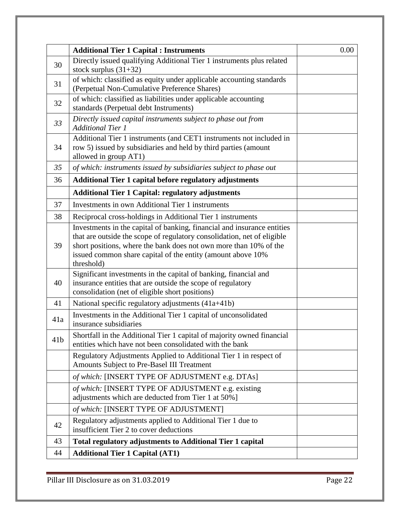|                 | <b>Additional Tier 1 Capital : Instruments</b>                                                                                                                                                                                                                                                       | 0.00 |
|-----------------|------------------------------------------------------------------------------------------------------------------------------------------------------------------------------------------------------------------------------------------------------------------------------------------------------|------|
| 30              | Directly issued qualifying Additional Tier 1 instruments plus related<br>stock surplus $(31+32)$                                                                                                                                                                                                     |      |
| 31              | of which: classified as equity under applicable accounting standards<br>(Perpetual Non-Cumulative Preference Shares)                                                                                                                                                                                 |      |
| 32              | of which: classified as liabilities under applicable accounting<br>standards (Perpetual debt Instruments)                                                                                                                                                                                            |      |
| 33              | Directly issued capital instruments subject to phase out from<br><b>Additional Tier 1</b>                                                                                                                                                                                                            |      |
| 34              | Additional Tier 1 instruments (and CET1 instruments not included in<br>row 5) issued by subsidiaries and held by third parties (amount<br>allowed in group AT1)                                                                                                                                      |      |
| 35              | of which: instruments issued by subsidiaries subject to phase out                                                                                                                                                                                                                                    |      |
| 36              | <b>Additional Tier 1 capital before regulatory adjustments</b>                                                                                                                                                                                                                                       |      |
|                 | <b>Additional Tier 1 Capital: regulatory adjustments</b>                                                                                                                                                                                                                                             |      |
| 37              | Investments in own Additional Tier 1 instruments                                                                                                                                                                                                                                                     |      |
| 38              | Reciprocal cross-holdings in Additional Tier 1 instruments                                                                                                                                                                                                                                           |      |
| 39              | Investments in the capital of banking, financial and insurance entities<br>that are outside the scope of regulatory consolidation, net of eligible<br>short positions, where the bank does not own more than 10% of the<br>issued common share capital of the entity (amount above 10%<br>threshold) |      |
| 40              | Significant investments in the capital of banking, financial and<br>insurance entities that are outside the scope of regulatory<br>consolidation (net of eligible short positions)                                                                                                                   |      |
| 41              | National specific regulatory adjustments (41a+41b)                                                                                                                                                                                                                                                   |      |
| 41a             | Investments in the Additional Tier 1 capital of unconsolidated<br>insurance subsidiaries                                                                                                                                                                                                             |      |
| 41 <sub>b</sub> | Shortfall in the Additional Tier 1 capital of majority owned financial<br>entities which have not been consolidated with the bank                                                                                                                                                                    |      |
|                 | Regulatory Adjustments Applied to Additional Tier 1 in respect of<br>Amounts Subject to Pre-Basel III Treatment                                                                                                                                                                                      |      |
|                 | of which: [INSERT TYPE OF ADJUSTMENT e.g. DTAs]                                                                                                                                                                                                                                                      |      |
|                 | of which: [INSERT TYPE OF ADJUSTMENT e.g. existing<br>adjustments which are deducted from Tier 1 at 50%]                                                                                                                                                                                             |      |
|                 | of which: [INSERT TYPE OF ADJUSTMENT]                                                                                                                                                                                                                                                                |      |
| 42              | Regulatory adjustments applied to Additional Tier 1 due to<br>insufficient Tier 2 to cover deductions                                                                                                                                                                                                |      |
| 43              | <b>Total regulatory adjustments to Additional Tier 1 capital</b>                                                                                                                                                                                                                                     |      |
| 44              | <b>Additional Tier 1 Capital (AT1)</b>                                                                                                                                                                                                                                                               |      |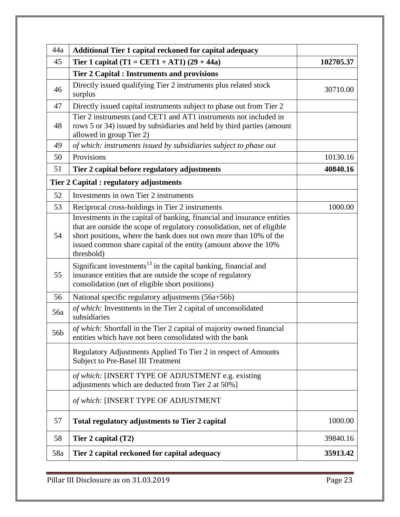| 44a | Additional Tier 1 capital reckoned for capital adequacy                                                                                                                                                                                                                                                  |           |
|-----|----------------------------------------------------------------------------------------------------------------------------------------------------------------------------------------------------------------------------------------------------------------------------------------------------------|-----------|
| 45  | Tier 1 capital (T1 = CET1 + AT1) $(29 + 44a)$                                                                                                                                                                                                                                                            | 102705.37 |
|     | <b>Tier 2 Capital : Instruments and provisions</b>                                                                                                                                                                                                                                                       |           |
| 46  | Directly issued qualifying Tier 2 instruments plus related stock<br>surplus                                                                                                                                                                                                                              | 30710.00  |
| 47  | Directly issued capital instruments subject to phase out from Tier 2                                                                                                                                                                                                                                     |           |
| 48  | Tier 2 instruments (and CET1 and AT1 instruments not included in<br>rows 5 or 34) issued by subsidiaries and held by third parties (amount<br>allowed in group Tier 2)                                                                                                                                   |           |
| 49  | of which: instruments issued by subsidiaries subject to phase out                                                                                                                                                                                                                                        |           |
| 50  | Provisions                                                                                                                                                                                                                                                                                               | 10130.16  |
| 51  | Tier 2 capital before regulatory adjustments                                                                                                                                                                                                                                                             | 40840.16  |
|     | <b>Tier 2 Capital : regulatory adjustments</b>                                                                                                                                                                                                                                                           |           |
| 52  | Investments in own Tier 2 instruments                                                                                                                                                                                                                                                                    |           |
| 53  | Reciprocal cross-holdings in Tier 2 instruments                                                                                                                                                                                                                                                          | 1000.00   |
| 54  | Investments in the capital of banking, financial and insurance entities<br>that are outside the scope of regulatory consolidation, net of eligible<br>short positions, where the bank does not own more than 10% of the<br>issued common share capital of the entity (amount above the 10%<br>threshold) |           |
| 55  | Significant investments <sup>13</sup> in the capital banking, financial and<br>insurance entities that are outside the scope of regulatory<br>consolidation (net of eligible short positions)                                                                                                            |           |
| 56  | National specific regulatory adjustments (56a+56b)                                                                                                                                                                                                                                                       |           |
| 56a | of which: Investments in the Tier 2 capital of unconsolidated<br>subsidiaries                                                                                                                                                                                                                            |           |
| 56b | of which: Shortfall in the Tier 2 capital of majority owned financial<br>entities which have not been consolidated with the bank                                                                                                                                                                         |           |
|     | Regulatory Adjustments Applied To Tier 2 in respect of Amounts<br>Subject to Pre-Basel III Treatment                                                                                                                                                                                                     |           |
|     | of which: [INSERT TYPE OF ADJUSTMENT e.g. existing<br>adjustments which are deducted from Tier 2 at 50%]                                                                                                                                                                                                 |           |
|     | of which: [INSERT TYPE OF ADJUSTMENT                                                                                                                                                                                                                                                                     |           |
| 57  | Total regulatory adjustments to Tier 2 capital                                                                                                                                                                                                                                                           | 1000.00   |
| 58  | Tier 2 capital $(T2)$                                                                                                                                                                                                                                                                                    | 39840.16  |
| 58a | Tier 2 capital reckoned for capital adequacy                                                                                                                                                                                                                                                             | 35913.42  |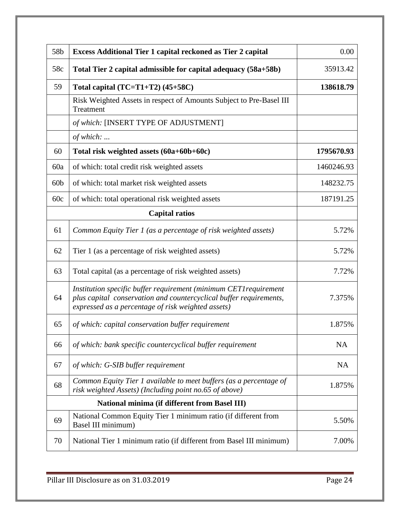| 58b             | <b>Excess Additional Tier 1 capital reckoned as Tier 2 capital</b>                                                                                                                            | 0.00       |
|-----------------|-----------------------------------------------------------------------------------------------------------------------------------------------------------------------------------------------|------------|
| 58c             | Total Tier 2 capital admissible for capital adequacy (58a+58b)                                                                                                                                | 35913.42   |
| 59              | Total capital $(TC=T1+T2)$ (45+58C)                                                                                                                                                           | 138618.79  |
|                 | Risk Weighted Assets in respect of Amounts Subject to Pre-Basel III<br>Treatment                                                                                                              |            |
|                 | of which: [INSERT TYPE OF ADJUSTMENT]                                                                                                                                                         |            |
|                 | of which:                                                                                                                                                                                     |            |
| 60              | Total risk weighted assets (60a+60b+60c)                                                                                                                                                      | 1795670.93 |
| 60a             | of which: total credit risk weighted assets                                                                                                                                                   | 1460246.93 |
| 60 <sub>b</sub> | of which: total market risk weighted assets                                                                                                                                                   | 148232.75  |
| 60c             | of which: total operational risk weighted assets                                                                                                                                              | 187191.25  |
|                 | <b>Capital ratios</b>                                                                                                                                                                         |            |
| 61              | Common Equity Tier 1 (as a percentage of risk weighted assets)                                                                                                                                | 5.72%      |
| 62              | Tier 1 (as a percentage of risk weighted assets)                                                                                                                                              | 5.72%      |
| 63              | Total capital (as a percentage of risk weighted assets)                                                                                                                                       | 7.72%      |
| 64              | Institution specific buffer requirement (minimum CET1 requirement<br>plus capital conservation and countercyclical buffer requirements,<br>expressed as a percentage of risk weighted assets) | 7.375%     |
| 65              | of which: capital conservation buffer requirement                                                                                                                                             | 1.875%     |
| 66              | of which: bank specific countercyclical buffer requirement                                                                                                                                    | <b>NA</b>  |
| 67              | of which: G-SIB buffer requirement                                                                                                                                                            | <b>NA</b>  |
| 68              | Common Equity Tier 1 available to meet buffers (as a percentage of<br>risk weighted Assets) (Including point no.65 of above)                                                                  | 1.875%     |
|                 | National minima (if different from Basel III)                                                                                                                                                 |            |
| 69              | National Common Equity Tier 1 minimum ratio (if different from<br>Basel III minimum)                                                                                                          | 5.50%      |
| 70              | National Tier 1 minimum ratio (if different from Basel III minimum)                                                                                                                           | 7.00%      |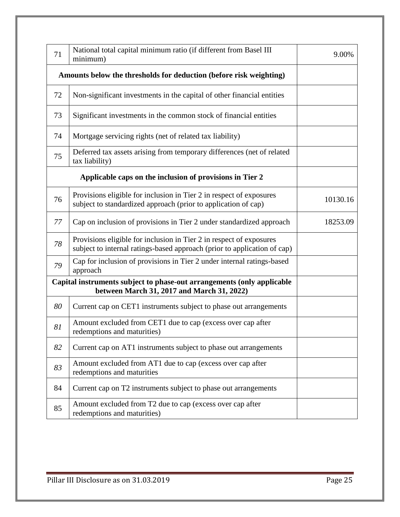| 71 | National total capital minimum ratio (if different from Basel III<br>minimum)                                                                   | 9.00%    |  |  |  |
|----|-------------------------------------------------------------------------------------------------------------------------------------------------|----------|--|--|--|
|    | Amounts below the thresholds for deduction (before risk weighting)                                                                              |          |  |  |  |
| 72 | Non-significant investments in the capital of other financial entities                                                                          |          |  |  |  |
| 73 | Significant investments in the common stock of financial entities                                                                               |          |  |  |  |
| 74 | Mortgage servicing rights (net of related tax liability)                                                                                        |          |  |  |  |
| 75 | Deferred tax assets arising from temporary differences (net of related<br>tax liability)                                                        |          |  |  |  |
|    | Applicable caps on the inclusion of provisions in Tier 2                                                                                        |          |  |  |  |
| 76 | Provisions eligible for inclusion in Tier 2 in respect of exposures<br>subject to standardized approach (prior to application of cap)           | 10130.16 |  |  |  |
| 77 | Cap on inclusion of provisions in Tier 2 under standardized approach                                                                            | 18253.09 |  |  |  |
| 78 | Provisions eligible for inclusion in Tier 2 in respect of exposures<br>subject to internal ratings-based approach (prior to application of cap) |          |  |  |  |
| 79 | Cap for inclusion of provisions in Tier 2 under internal ratings-based<br>approach                                                              |          |  |  |  |
|    | Capital instruments subject to phase-out arrangements (only applicable<br>between March 31, 2017 and March 31, 2022)                            |          |  |  |  |
| 80 | Current cap on CET1 instruments subject to phase out arrangements                                                                               |          |  |  |  |
| 81 | Amount excluded from CET1 due to cap (excess over cap after<br>redemptions and maturities)                                                      |          |  |  |  |
| 82 | Current cap on AT1 instruments subject to phase out arrangements                                                                                |          |  |  |  |
| 83 | Amount excluded from AT1 due to cap (excess over cap after<br>redemptions and maturities                                                        |          |  |  |  |
| 84 | Current cap on T2 instruments subject to phase out arrangements                                                                                 |          |  |  |  |
| 85 | Amount excluded from T2 due to cap (excess over cap after<br>redemptions and maturities)                                                        |          |  |  |  |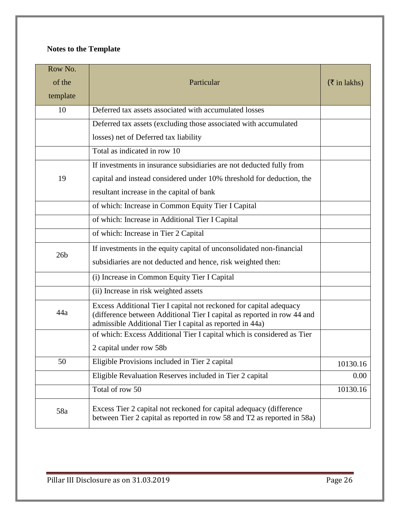# **Notes to the Template**

| Row No.         |                                                                                                                                                                                                           |                      |
|-----------------|-----------------------------------------------------------------------------------------------------------------------------------------------------------------------------------------------------------|----------------------|
| of the          | Particular                                                                                                                                                                                                | $(\bar{z}$ in lakhs) |
| template        |                                                                                                                                                                                                           |                      |
| 10              | Deferred tax assets associated with accumulated losses                                                                                                                                                    |                      |
|                 | Deferred tax assets (excluding those associated with accumulated                                                                                                                                          |                      |
|                 | losses) net of Deferred tax liability                                                                                                                                                                     |                      |
|                 | Total as indicated in row 10                                                                                                                                                                              |                      |
|                 | If investments in insurance subsidiaries are not deducted fully from                                                                                                                                      |                      |
| 19              | capital and instead considered under 10% threshold for deduction, the                                                                                                                                     |                      |
|                 | resultant increase in the capital of bank                                                                                                                                                                 |                      |
|                 | of which: Increase in Common Equity Tier I Capital                                                                                                                                                        |                      |
|                 | of which: Increase in Additional Tier I Capital                                                                                                                                                           |                      |
|                 | of which: Increase in Tier 2 Capital                                                                                                                                                                      |                      |
| 26 <sub>b</sub> | If investments in the equity capital of unconsolidated non-financial                                                                                                                                      |                      |
|                 | subsidiaries are not deducted and hence, risk weighted then:                                                                                                                                              |                      |
|                 | (i) Increase in Common Equity Tier I Capital                                                                                                                                                              |                      |
|                 | (ii) Increase in risk weighted assets                                                                                                                                                                     |                      |
| 44a             | Excess Additional Tier I capital not reckoned for capital adequacy<br>(difference between Additional Tier I capital as reported in row 44 and<br>admissible Additional Tier I capital as reported in 44a) |                      |
|                 | of which: Excess Additional Tier I capital which is considered as Tier                                                                                                                                    |                      |
|                 | 2 capital under row 58b                                                                                                                                                                                   |                      |
| 50              | Eligible Provisions included in Tier 2 capital                                                                                                                                                            | 10130.16             |
|                 | Eligible Revaluation Reserves included in Tier 2 capital                                                                                                                                                  | 0.00                 |
|                 | Total of row 50                                                                                                                                                                                           | 10130.16             |
| 58a             | Excess Tier 2 capital not reckoned for capital adequacy (difference)<br>between Tier 2 capital as reported in row 58 and T2 as reported in 58a)                                                           |                      |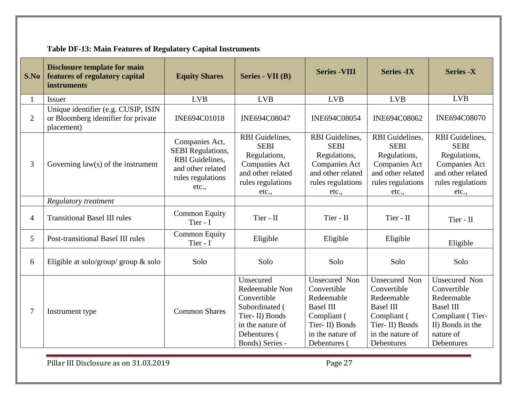| S.No           | <b>Disclosure template for main</b><br>features of regulatory capital<br><b>instruments</b> | <b>Equity Shares</b>                                                                                             | <b>Series - VII (B)</b>                                                                                                               | <b>Series - VIII</b>                                                                                                                | <b>Series - IX</b>                                                                                                                | <b>Series -X</b>                                                                                                                  |
|----------------|---------------------------------------------------------------------------------------------|------------------------------------------------------------------------------------------------------------------|---------------------------------------------------------------------------------------------------------------------------------------|-------------------------------------------------------------------------------------------------------------------------------------|-----------------------------------------------------------------------------------------------------------------------------------|-----------------------------------------------------------------------------------------------------------------------------------|
| $\mathbf{1}$   | <b>Issuer</b>                                                                               | <b>LVB</b>                                                                                                       | <b>LVB</b>                                                                                                                            | <b>LVB</b>                                                                                                                          | <b>LVB</b>                                                                                                                        | <b>LVB</b>                                                                                                                        |
| $\overline{2}$ | Unique identifier (e.g. CUSIP, ISIN<br>or Bloomberg identifier for private<br>placement)    | INE694C01018                                                                                                     | INE694C08047                                                                                                                          | INE694C08054                                                                                                                        | INE694C08062                                                                                                                      | INE694C08070                                                                                                                      |
| 3              | Governing $law(s)$ of the instrument                                                        | Companies Act,<br><b>SEBI</b> Regulations,<br>RBI Guidelines,<br>and other related<br>rules regulations<br>etc., | RBI Guidelines,<br><b>SEBI</b><br>Regulations,<br><b>Companies Act</b><br>and other related<br>rules regulations<br>etc.,             | RBI Guidelines,<br><b>SEBI</b><br>Regulations,<br><b>Companies Act</b><br>and other related<br>rules regulations<br>etc.,           | RBI Guidelines,<br><b>SEBI</b><br>Regulations,<br><b>Companies Act</b><br>and other related<br>rules regulations<br>etc.,         | RBI Guidelines,<br><b>SEBI</b><br>Regulations,<br><b>Companies Act</b><br>and other related<br>rules regulations<br>etc.,         |
|                | <b>Regulatory treatment</b>                                                                 |                                                                                                                  |                                                                                                                                       |                                                                                                                                     |                                                                                                                                   |                                                                                                                                   |
| $\overline{4}$ | <b>Transitional Basel III rules</b>                                                         | <b>Common Equity</b><br>Tier - I                                                                                 | Tier - II                                                                                                                             | Tier - II                                                                                                                           | Tier - II                                                                                                                         | Tier - II                                                                                                                         |
| 5              | Post-transitional Basel III rules                                                           | <b>Common Equity</b><br>Tier - I                                                                                 | Eligible                                                                                                                              | Eligible                                                                                                                            | Eligible                                                                                                                          | Eligible                                                                                                                          |
| 6              | Eligible at solo/group/ group $\&$ solo                                                     | Solo                                                                                                             | Solo                                                                                                                                  | Solo                                                                                                                                | Solo                                                                                                                              | Solo                                                                                                                              |
| $\overline{7}$ | Instrument type                                                                             | <b>Common Shares</b>                                                                                             | Unsecured<br>Redeemable Non<br>Convertible<br>Subordinated (<br>Tier-II) Bonds<br>in the nature of<br>Debentures (<br>Bonds) Series - | Unsecured Non<br>Convertible<br>Redeemable<br><b>Basel III</b><br>Compliant (<br>Tier-II) Bonds<br>in the nature of<br>Debentures ( | Unsecured Non<br>Convertible<br>Redeemable<br><b>Basel III</b><br>Compliant (<br>Tier-II) Bonds<br>in the nature of<br>Debentures | Unsecured Non<br>Convertible<br>Redeemable<br><b>Basel III</b><br>Compliant (Tier-<br>II) Bonds in the<br>nature of<br>Debentures |

# **Table DF-13: Main Features of Regulatory Capital Instruments**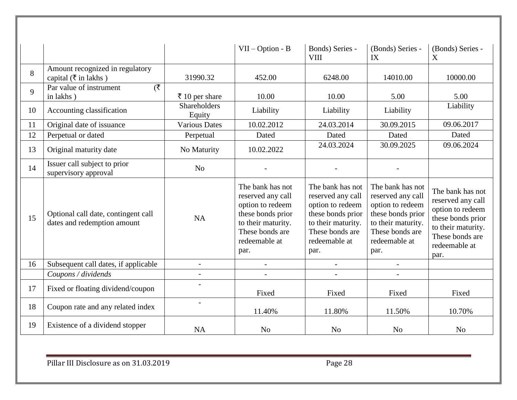|    |                                                                     |                               | $VII - Option - B$                                                                                                                               | Bonds) Series -<br><b>VIII</b>                                                                                                                   | (Bonds) Series -<br>IX                                                                                                                           | (Bonds) Series -<br>X                                                                                                                            |
|----|---------------------------------------------------------------------|-------------------------------|--------------------------------------------------------------------------------------------------------------------------------------------------|--------------------------------------------------------------------------------------------------------------------------------------------------|--------------------------------------------------------------------------------------------------------------------------------------------------|--------------------------------------------------------------------------------------------------------------------------------------------------|
| 8  | Amount recognized in regulatory<br>capital ( $\bar{\tau}$ in lakhs) | 31990.32                      | 452.00                                                                                                                                           | 6248.00                                                                                                                                          | 14010.00                                                                                                                                         | 10000.00                                                                                                                                         |
| 9  | ( ₹)<br>Par value of instrument<br>in lakhs)                        | ₹ 10 per share                | 10.00                                                                                                                                            | 10.00                                                                                                                                            | 5.00                                                                                                                                             | 5.00                                                                                                                                             |
| 10 | Accounting classification                                           | <b>Shareholders</b><br>Equity | Liability                                                                                                                                        | Liability                                                                                                                                        | Liability                                                                                                                                        | Liability                                                                                                                                        |
| 11 | Original date of issuance                                           | <b>Various Dates</b>          | 10.02.2012                                                                                                                                       | 24.03.2014                                                                                                                                       | 30.09.2015                                                                                                                                       | 09.06.2017                                                                                                                                       |
| 12 | Perpetual or dated                                                  | Perpetual                     | Dated                                                                                                                                            | Dated                                                                                                                                            | Dated                                                                                                                                            | Dated                                                                                                                                            |
| 13 | Original maturity date                                              | No Maturity                   | 10.02.2022                                                                                                                                       | 24.03.2024                                                                                                                                       | 30.09.2025                                                                                                                                       | 09.06.2024                                                                                                                                       |
| 14 | Issuer call subject to prior<br>supervisory approval                | N <sub>o</sub>                |                                                                                                                                                  |                                                                                                                                                  |                                                                                                                                                  |                                                                                                                                                  |
| 15 | Optional call date, contingent call<br>dates and redemption amount  | <b>NA</b>                     | The bank has not<br>reserved any call<br>option to redeem<br>these bonds prior<br>to their maturity.<br>These bonds are<br>redeemable at<br>par. | The bank has not<br>reserved any call<br>option to redeem<br>these bonds prior<br>to their maturity.<br>These bonds are<br>redeemable at<br>par. | The bank has not<br>reserved any call<br>option to redeem<br>these bonds prior<br>to their maturity.<br>These bonds are<br>redeemable at<br>par. | The bank has not<br>reserved any call<br>option to redeem<br>these bonds prior<br>to their maturity.<br>These bonds are<br>redeemable at<br>par. |
| 16 | Subsequent call dates, if applicable                                | $\blacksquare$                |                                                                                                                                                  |                                                                                                                                                  |                                                                                                                                                  |                                                                                                                                                  |
|    | Coupons / dividends                                                 |                               |                                                                                                                                                  |                                                                                                                                                  |                                                                                                                                                  |                                                                                                                                                  |
| 17 | Fixed or floating dividend/coupon                                   |                               | Fixed                                                                                                                                            | Fixed                                                                                                                                            | Fixed                                                                                                                                            | Fixed                                                                                                                                            |
| 18 | Coupon rate and any related index                                   |                               | 11.40%                                                                                                                                           | 11.80%                                                                                                                                           | 11.50%                                                                                                                                           | 10.70%                                                                                                                                           |
| 19 | Existence of a dividend stopper                                     | <b>NA</b>                     | N <sub>o</sub>                                                                                                                                   | N <sub>o</sub>                                                                                                                                   | N <sub>o</sub>                                                                                                                                   | N <sub>o</sub>                                                                                                                                   |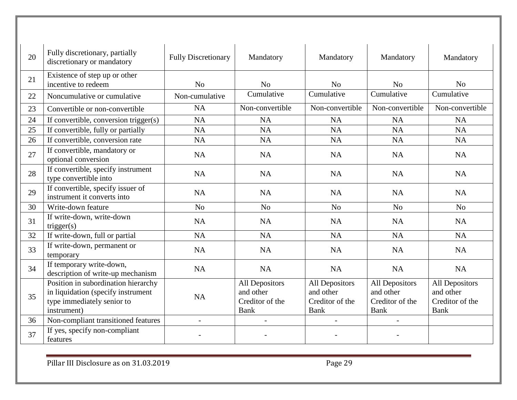| 20 | Fully discretionary, partially<br>discretionary or mandatory                                                           | <b>Fully Discretionary</b> | Mandatory                                                     | Mandatory                                                     | Mandatory                                              | Mandatory                                                     |
|----|------------------------------------------------------------------------------------------------------------------------|----------------------------|---------------------------------------------------------------|---------------------------------------------------------------|--------------------------------------------------------|---------------------------------------------------------------|
| 21 | Existence of step up or other<br>incentive to redeem                                                                   | No                         | N <sub>o</sub>                                                | N <sub>o</sub>                                                | N <sub>o</sub>                                         | No                                                            |
| 22 | Noncumulative or cumulative                                                                                            | Non-cumulative             | Cumulative                                                    | Cumulative                                                    | Cumulative                                             | Cumulative                                                    |
| 23 | Convertible or non-convertible                                                                                         | <b>NA</b>                  | Non-convertible                                               | Non-convertible                                               | Non-convertible                                        | Non-convertible                                               |
| 24 | If convertible, conversion trigger(s)                                                                                  | <b>NA</b>                  | <b>NA</b>                                                     | <b>NA</b>                                                     | <b>NA</b>                                              | <b>NA</b>                                                     |
| 25 | If convertible, fully or partially                                                                                     | <b>NA</b>                  | <b>NA</b>                                                     | <b>NA</b>                                                     | <b>NA</b>                                              | <b>NA</b>                                                     |
| 26 | If convertible, conversion rate                                                                                        | <b>NA</b>                  | <b>NA</b>                                                     | <b>NA</b>                                                     | <b>NA</b>                                              | <b>NA</b>                                                     |
| 27 | If convertible, mandatory or<br>optional conversion                                                                    | <b>NA</b>                  | <b>NA</b>                                                     | <b>NA</b>                                                     | <b>NA</b>                                              | <b>NA</b>                                                     |
| 28 | If convertible, specify instrument<br>type convertible into                                                            | <b>NA</b>                  | <b>NA</b>                                                     | <b>NA</b>                                                     | <b>NA</b>                                              | <b>NA</b>                                                     |
| 29 | If convertible, specify issuer of<br>instrument it converts into                                                       | <b>NA</b>                  | <b>NA</b>                                                     | <b>NA</b>                                                     | <b>NA</b>                                              | <b>NA</b>                                                     |
| 30 | Write-down feature                                                                                                     | No                         | N <sub>0</sub>                                                | N <sub>o</sub>                                                | N <sub>o</sub>                                         | No                                                            |
| 31 | If write-down, write-down<br>trigger(s)                                                                                | <b>NA</b>                  | <b>NA</b>                                                     | <b>NA</b>                                                     | <b>NA</b>                                              | <b>NA</b>                                                     |
| 32 | If write-down, full or partial                                                                                         | <b>NA</b>                  | <b>NA</b>                                                     | <b>NA</b>                                                     | <b>NA</b>                                              | <b>NA</b>                                                     |
| 33 | If write-down, permanent or<br>temporary                                                                               | <b>NA</b>                  | <b>NA</b>                                                     | <b>NA</b>                                                     | NA                                                     | <b>NA</b>                                                     |
| 34 | If temporary write-down,<br>description of write-up mechanism                                                          | <b>NA</b>                  | <b>NA</b>                                                     | <b>NA</b>                                                     | NA                                                     | <b>NA</b>                                                     |
| 35 | Position in subordination hierarchy<br>in liquidation (specify instrument<br>type immediately senior to<br>instrument) | NA                         | All Depositors<br>and other<br>Creditor of the<br><b>Bank</b> | All Depositors<br>and other<br>Creditor of the<br><b>Bank</b> | All Depositors<br>and other<br>Creditor of the<br>Bank | All Depositors<br>and other<br>Creditor of the<br><b>Bank</b> |
| 36 | Non-compliant transitioned features                                                                                    |                            |                                                               |                                                               |                                                        |                                                               |
| 37 | If yes, specify non-compliant<br>features                                                                              |                            |                                                               |                                                               |                                                        |                                                               |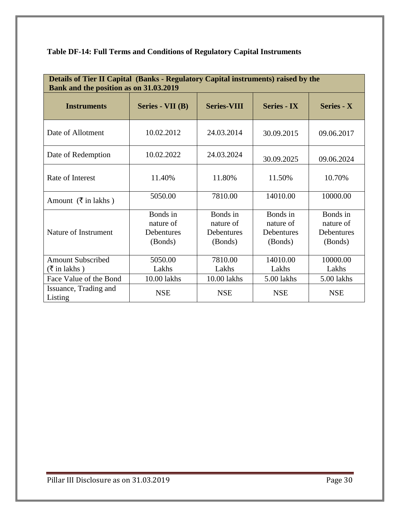| Details of Tier II Capital (Banks - Regulatory Capital instruments) raised by the<br>Bank and the position as on 31.03.2019 |                                                |                                                |                                                |                                                |  |  |
|-----------------------------------------------------------------------------------------------------------------------------|------------------------------------------------|------------------------------------------------|------------------------------------------------|------------------------------------------------|--|--|
| <b>Instruments</b>                                                                                                          | Series - VII (B)                               | <b>Series-VIII</b>                             | <b>Series - IX</b>                             | Series - X                                     |  |  |
| Date of Allotment                                                                                                           | 10.02.2012                                     | 24.03.2014                                     | 30.09.2015                                     | 09.06.2017                                     |  |  |
| Date of Redemption                                                                                                          | 10.02.2022                                     | 24.03.2024                                     | 30.09.2025                                     | 09.06.2024                                     |  |  |
| Rate of Interest                                                                                                            | 11.40%                                         | 11.80%                                         | 11.50%                                         | 10.70%                                         |  |  |
| Amount $(\bar{\bar{\mathbf{x}}}$ in lakhs)                                                                                  | 5050.00                                        | 7810.00                                        | 14010.00                                       | 10000.00                                       |  |  |
| Nature of Instrument                                                                                                        | Bonds in<br>nature of<br>Debentures<br>(Bonds) | Bonds in<br>nature of<br>Debentures<br>(Bonds) | Bonds in<br>nature of<br>Debentures<br>(Bonds) | Bonds in<br>nature of<br>Debentures<br>(Bonds) |  |  |
| <b>Amount Subscribed</b>                                                                                                    | 5050.00                                        | 7810.00                                        | 14010.00                                       | 10000.00                                       |  |  |
| $(\bar{\tau}$ in lakhs)<br>Face Value of the Bond                                                                           | Lakhs<br>10.00 lakhs                           | Lakhs<br>10.00 lakhs                           | Lakhs<br>5.00 lakhs                            | Lakhs<br>5.00 lakhs                            |  |  |
| Issuance, Trading and<br>Listing                                                                                            | <b>NSE</b>                                     | <b>NSE</b>                                     | <b>NSE</b>                                     | <b>NSE</b>                                     |  |  |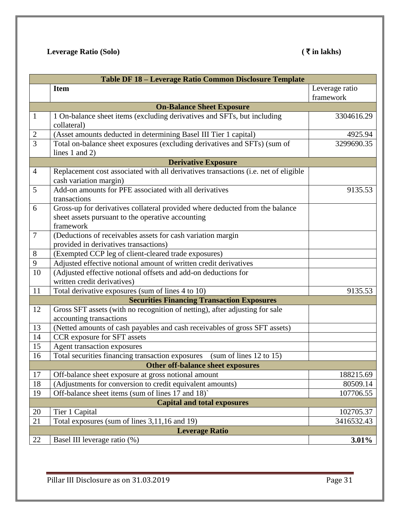# **Leverage Ratio** (Solo) (₹ in lakhs)

|                                    | Table DF 18 - Leverage Ratio Common Disclosure Template                             |                |  |  |  |  |
|------------------------------------|-------------------------------------------------------------------------------------|----------------|--|--|--|--|
|                                    | <b>Item</b>                                                                         | Leverage ratio |  |  |  |  |
|                                    |                                                                                     | framework      |  |  |  |  |
|                                    | <b>On-Balance Sheet Exposure</b>                                                    |                |  |  |  |  |
| $\mathbf{1}$                       | 1 On-balance sheet items (excluding derivatives and SFTs, but including             | 3304616.29     |  |  |  |  |
|                                    | collateral)                                                                         |                |  |  |  |  |
| $\overline{c}$                     | (Asset amounts deducted in determining Basel III Tier 1 capital)                    | 4925.94        |  |  |  |  |
| $\overline{3}$                     | Total on-balance sheet exposures (excluding derivatives and SFTs) (sum of           | 3299690.35     |  |  |  |  |
|                                    | lines $1$ and $2$ )                                                                 |                |  |  |  |  |
|                                    | <b>Derivative Exposure</b>                                                          |                |  |  |  |  |
| $\overline{4}$                     | Replacement cost associated with all derivatives transactions (i.e. net of eligible |                |  |  |  |  |
|                                    | cash variation margin)                                                              |                |  |  |  |  |
| 5                                  | Add-on amounts for PFE associated with all derivatives                              | 9135.53        |  |  |  |  |
|                                    | transactions                                                                        |                |  |  |  |  |
| 6                                  | Gross-up for derivatives collateral provided where deducted from the balance        |                |  |  |  |  |
|                                    | sheet assets pursuant to the operative accounting<br>framework                      |                |  |  |  |  |
|                                    |                                                                                     |                |  |  |  |  |
| $\overline{7}$                     | (Deductions of receivables assets for cash variation margin                         |                |  |  |  |  |
|                                    | provided in derivatives transactions)                                               |                |  |  |  |  |
| 8                                  | (Exempted CCP leg of client-cleared trade exposures)                                |                |  |  |  |  |
| 9                                  | Adjusted effective notional amount of written credit derivatives                    |                |  |  |  |  |
| 10                                 | (Adjusted effective notional offsets and add-on deductions for                      |                |  |  |  |  |
|                                    | written credit derivatives)                                                         |                |  |  |  |  |
| 11                                 | Total derivative exposures (sum of lines 4 to 10)                                   | 9135.53        |  |  |  |  |
|                                    | <b>Securities Financing Transaction Exposures</b>                                   |                |  |  |  |  |
| 12                                 | Gross SFT assets (with no recognition of netting), after adjusting for sale         |                |  |  |  |  |
|                                    | accounting transactions                                                             |                |  |  |  |  |
| 13                                 | (Netted amounts of cash payables and cash receivables of gross SFT assets)          |                |  |  |  |  |
| 14                                 | CCR exposure for SFT assets                                                         |                |  |  |  |  |
| $\overline{15}$                    | Agent transaction exposures                                                         |                |  |  |  |  |
| 16                                 | Total securities financing transaction exposures (sum of lines 12 to 15)            |                |  |  |  |  |
|                                    | <b>Other off-balance sheet exposures</b>                                            |                |  |  |  |  |
| 17                                 | Off-balance sheet exposure at gross notional amount                                 | 188215.69      |  |  |  |  |
| 18                                 | (Adjustments for conversion to credit equivalent amounts)                           | 80509.14       |  |  |  |  |
| 19                                 | Off-balance sheet items (sum of lines 17 and 18)                                    | 107706.55      |  |  |  |  |
| <b>Capital and total exposures</b> |                                                                                     |                |  |  |  |  |
| 20                                 | Tier 1 Capital                                                                      | 102705.37      |  |  |  |  |
| 21                                 | Total exposures (sum of lines 3,11,16 and 19)                                       | 3416532.43     |  |  |  |  |
| <b>Leverage Ratio</b>              |                                                                                     |                |  |  |  |  |
| 22                                 | Basel III leverage ratio (%)                                                        | $3.01\%$       |  |  |  |  |